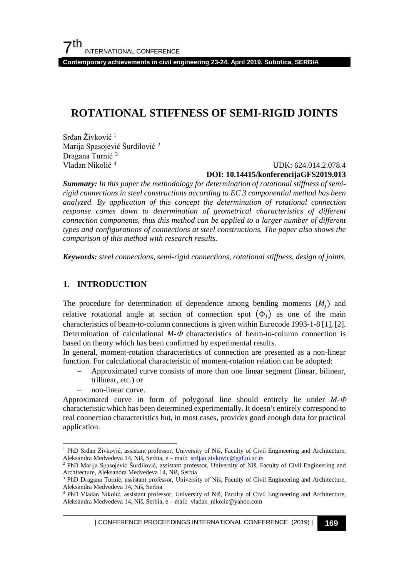**Contemporary achievements in civil engineering 23-24. April 2019. Subotica, SERBIA**

# **ROTATIONAL STIFFNESS OF SEMI-RIGID JOINTS**

Srđan Živković <sup>[1](#page-0-0)</sup> Marija Spasojević Šurdilović <sup>[2](#page-0-1)</sup> Dragana Turnić<sup>[3](#page-0-2)</sup> Vladan Nikolić [4](#page-0-3)

 UDK: 624.014.2.078.4 **DOI: 10.14415/konferencijaGFS2019.013**

*Summary: In this paper the methodology for determination of rotational stiffness of semirigid connections in steel constructions according to EC 3 componential method has been analyzed. By application of this concept the determination of rotational connection response comes down to determination of geometrical characteristics of different connection components, thus this method can be applied to a larger number of different types and configurations of connections at steel constructions. The paper also shows the comparison of this method with research results.* 

*Keywords: steel connections, semi-rigid connections, rotational stiffness, design of joints.*

### **1. INTRODUCTION**

The procedure for determination of dependence among bending moments  $(M_i)$  and relative rotational angle at section of connection spot  $(\Phi_i)$  as one of the main characteristics of beam-to-column connections is given within Eurocode 1993-1-8 [1], [2]. Determination of calculational  $M - \Phi$  characteristics of beam-to-column connection is based on theory which has been confirmed by experimental results.

In general, moment-rotation characteristics of connection are presented as a non-linear function. For calculational characteristic of moment-rotation relation can be adopted:

- Approximated curve consists of more than one linear segment (linear, bilinear, trilinear, etc.) or
- non-linear curve.

Approximated curve in form of polygonal line should entirely lie under *M-*<sup>Φ</sup> characteristic which has been determined experimentally. It doesn't entirely correspond to real connection characteristics but, in most cases, provides good enough data for practical application.

<span id="page-0-0"></span> <sup>1</sup> PhD Srđan Živković, assistant professor, University of Niš, Faculty of Civil Engineering and Architecture, Aleksandra Medvedeva 14, Niš, Serbia, e - mail: [srdjan.zivkovic@gaf.ni.ac.rs](mailto:srdjan.zivkovic@gaf.ni.ac.rs)

<span id="page-0-1"></span><sup>2</sup> PhD Marija Spasojević Šurdilović, assistant professor, University of Niš, Faculty of Civil Engineering and Architecture, Aleksandra Medvedeva 14, Niš, Serbia

<span id="page-0-2"></span><sup>&</sup>lt;sup>3</sup> PhD Dragana Turnić, assistant professor, University of Niš, Faculty of Civil Engineering and Architecture, Aleksandra Medvedeva 14, Niš, Serbia

<span id="page-0-3"></span><sup>4</sup> PhD Vladan Nikolić, assistant professor, University of Niš, Faculty of Civil Engineering and Architecture, Aleksandra Medvedeva 14, Niš, Serbia, e – mail: vladan\_nikolic@yahoo.com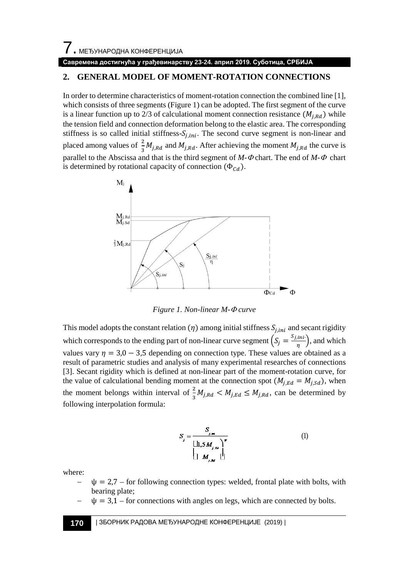#### **Савремена достигнућа у грађевинарству 23-24. април 2019. Суботица, СРБИЈА**

# **2. GENERAL MODEL OF MOMENT-ROTATION CONNECTIONS**

In order to determine characteristics of moment-rotation connection the combined line [1], which consists of three segments (Figure 1) can be adopted. The first segment of the curve is a linear function up to 2/3 of calculational moment connection resistance  $(M_{i, Rd})$  while the tension field and connection deformation belong to the elastic area. The corresponding stiffness is so called initial stiffness- $S_{i, ini}$ . The second curve segment is non-linear and placed among values of  $\frac{2}{3}M_{j, Rd}$  and  $M_{j, Rd}$ . After achieving the moment  $M_{j, Rd}$  the curve is parallel to the Abscissa and that is the third segment of *M-*<sup>Φ</sup> chart. The end of *M-*Φ chart is determined by rotational capacity of connection  $(\Phi_{cd})$ .



*Figure 1. Non-linear M-*<sup>Φ</sup> *curve*

This model adopts the constant relation  $(\eta)$  among initial stiffness  $S_{i, ini}$  and secant rigidity which corresponds to the ending part of non-linear curve segment  $\left(S_j = \frac{S_{j,ini}}{\eta}\right)$ , and which values vary  $\eta = 3.0 - 3.5$  depending on connection type. These values are obtained as a result of parametric studies and analysis of many experimental researches of connections [3]. Secant rigidity which is defined at non-linear part of the moment-rotation curve, for the value of calculational bending moment at the connection spot  $(M_{i, Ed} = M_{i, sd})$ , when the moment belongs within interval of  $\frac{2}{3}M_{j, Rd} < M_{j, Ed} \le M_{j, Rd}$ , can be determined by following interpolation formula:

$$
S_{j} = \frac{S_{j,m}}{\left[\prod_{j} S M_{j,m}\right]^{\nu}}
$$
\n
$$
\left[\prod_{j} M_{j,m} \right]^{\nu}
$$
\n(1)

where:

- $\psi = 2.7$  for following connection types: welded, frontal plate with bolts, with bearing plate;
- $\psi = 3.1$  for connections with angles on legs, which are connected by bolts.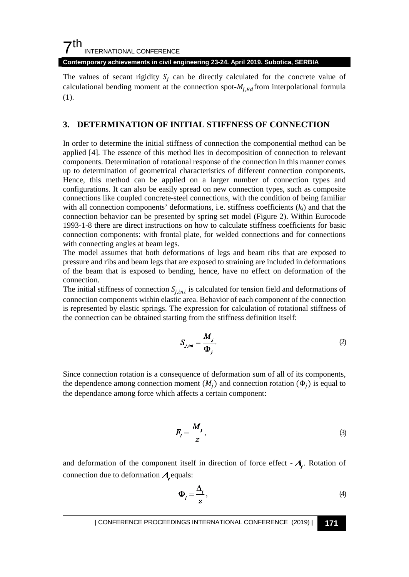**Contemporary achievements in civil engineering 23-24. April 2019. Subotica, SERBIA**

The values of secant rigidity  $S_i$  can be directly calculated for the concrete value of calculational bending moment at the connection spot- $M_{i, Ed}$  from interpolational formula (1).

#### **3. DETERMINATION OF INITIAL STIFFNESS OF CONNECTION**

In order to determine the initial stiffness of connection the componential method can be applied [4]. The essence of this method lies in decomposition of connection to relevant components. Determination of rotational response of the connection in this manner comes up to determination of geometrical characteristics of different connection components. Hence, this method can be applied on a larger number of connection types and configurations. It can also be easily spread on new connection types, such as composite connections like coupled concrete-steel connections, with the condition of being familiar with all connection components' deformations, i.e. stiffness coefficients (*ki*) and that the connection behavior can be presented by spring set model (Figure 2). Within Eurocode 1993-1-8 there are direct instructions on how to calculate stiffness coefficients for basic connection components: with frontal plate, for welded connections and for connections with connecting angles at beam legs.

The model assumes that both deformations of legs and beam ribs that are exposed to pressure and ribs and beam legs that are exposed to straining are included in deformations of the beam that is exposed to bending, hence, have no effect on deformation of the connection.

The initial stiffness of connection  $S_{i,ini}$  is calculated for tension field and deformations of connection components within elastic area. Behavior of each component of the connection is represented by elastic springs. The expression for calculation of rotational stiffness of the connection can be obtained starting from the stiffness definition itself:

$$
S_{j,m} = \frac{M_j}{\Phi_j}.
$$
 (2)

Since connection rotation is a consequence of deformation sum of all of its components, the dependence among connection moment  $(M_i)$  and connection rotation  $(\Phi_i)$  is equal to the dependance among force which affects a certain component:

$$
F_i = \frac{M_j}{z},\tag{3}
$$

and deformation of the component itself in direction of force effect  $-\Delta$ . Rotation of connection due to deformation  $\Delta$  equals:

$$
\Phi_i = \frac{\Delta_i}{z},\tag{4}
$$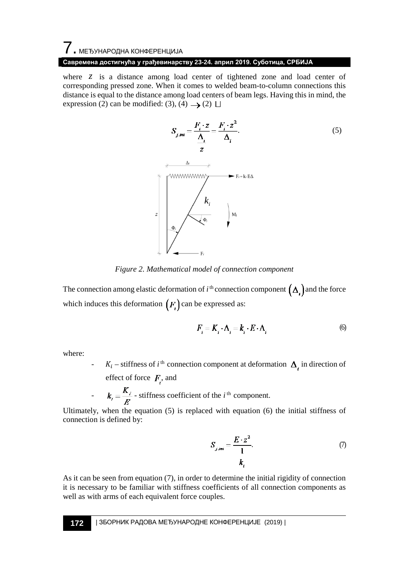# 7. МЕЂУНАРОДНА КОНФЕРЕНЦИЈА

#### **Савремена достигнућа у грађевинарству 23-24. април 2019. Суботица, СРБИЈА**

where  $z$  is a distance among load center of tightened zone and load center of corresponding pressed zone. When it comes to welded beam-to-column connections this distance is equal to the distance among load centers of beam legs. Having this in mind, the expression (2) can be modified: (3), (4)  $\rightarrow$  (2)  $\Box$ 



*Figure 2. Mathematical model of connection component*

The connection among elastic deformation of  $i^{\text{th}}$  connection component  $(\Delta_i)$  and the force which induces this deformation  $(F_i)$  can be expressed as:

$$
F_i = K_i \cdot \Delta_i = k_i \cdot E \cdot \Delta_i \tag{6}
$$

where:

 $K_i$  – stiffness of *i*<sup>th</sup> connection component at deformation  $\Delta_i$  in direction of effect of force  $F_i$ , and

$$
k_i = \frac{K_i}{E}
$$
 - stiffness coefficient of the *i*<sup>th</sup> component.

Ultimately, when the equation (5) is replaced with equation (6) the initial stiffness of connection is defined by:

$$
S_{j,mi} = \frac{E \cdot z^2}{1}.
$$
 (7)

As it can be seen from equation  $(7)$ , in order to determine the initial rigidity of connection it is necessary to be familiar with stiffness coefficients of all connection components as well as with arms of each equivalent force couples.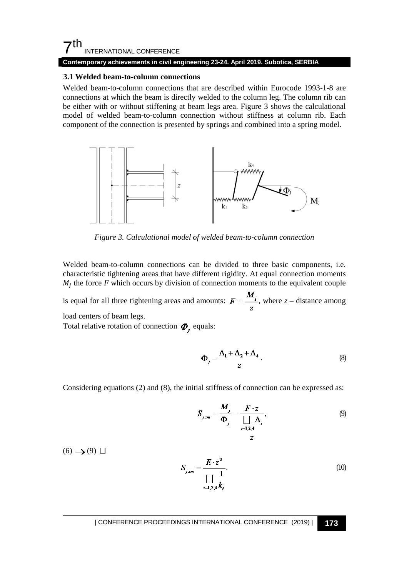#### **Contemporary achievements in civil engineering 23-24. April 2019. Subotica, SERBIA**

#### **3.1 Welded beam-to-column connections**

Welded beam-to-column connections that are described within Eurocode 1993-1-8 are connections at which the beam is directly welded to the column leg. The column rib can be either with or without stiffening at beam legs area. Figure 3 shows the calculational model of welded beam-to-column connection without stiffness at column rib. Each component of the connection is presented by springs and combined into a spring model.



*Figure 3. Calculational model of welded beam-to-column connection*

Welded beam-to-column connections can be divided to three basic components, i.e. characteristic tightening areas that have different rigidity. At equal connection moments  $M_i$ ; the force *F* which occurs by division of connection moments to the equivalent couple

is equal for all three tightening areas and amounts:  $F = \frac{M_j}{z}$ , where  $z$  – distance among load centers of beam legs.

Total relative rotation of connection  $\boldsymbol{\Phi}$ , equals:

$$
\Phi_j = \frac{\Delta_1 + \Delta_2 + \Delta_4}{z}.
$$
 (8)

Considering equations (2) and (8), the initial stiffness of connection can be expressed as:

$$
S_{jmi} = \frac{M_j}{\Phi_j} = \frac{F \cdot z}{\prod_{i=1,2,4} \Delta_i},
$$
\n(9)

 $(6) \rightarrow (9) \square$ 

$$
S_{j\,ini} = \frac{E \cdot z^2}{\prod\limits_{i=1,2,4}^{1} k_i}.
$$
 (10)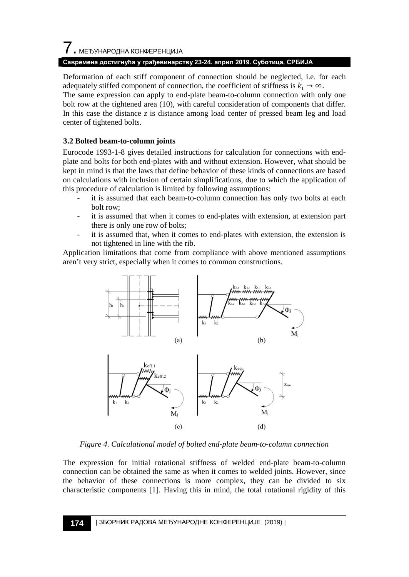# 7. МЕЂУНАРОДНА КОНФЕРЕНЦИЈА

#### **Савремена достигнућа у грађевинарству 23-24. април 2019. Суботица, СРБИЈА**

Deformation of each stiff component of connection should be neglected, i.e. for each adequately stiffed component of connection, the coefficient of stiffness is  $k_i \to \infty$ .

The same expression can apply to end-plate beam-to-column connection with only one bolt row at the tightened area (10), with careful consideration of components that differ. In this case the distance  $z$  is distance among load center of pressed beam leg and load center of tightened bolts.

# **3.2 Bolted beam-to-column joints**

Eurocode 1993-1-8 gives detailed instructions for calculation for connections with endplate and bolts for both end-plates with and without extension. However, what should be kept in mind is that the laws that define behavior of these kinds of connections are based on calculations with inclusion of certain simplifications, due to which the application of this procedure of calculation is limited by following assumptions:

- it is assumed that each beam-to-column connection has only two bolts at each bolt row;
- it is assumed that when it comes to end-plates with extension, at extension part there is only one row of bolts;
- it is assumed that, when it comes to end-plates with extension, the extension is not tightened in line with the rib.

Application limitations that come from compliance with above mentioned assumptions aren't very strict, especially when it comes to common constructions.



*Figure 4. Calculational model of bolted end-plate beam-to-column connection* 

The expression for initial rotational stiffness of welded end-plate beam-to-column connection can be obtained the same as when it comes to welded joints. However, since the behavior of these connections is more complex, they can be divided to six characteristic components [1]. Having this in mind, the total rotational rigidity of this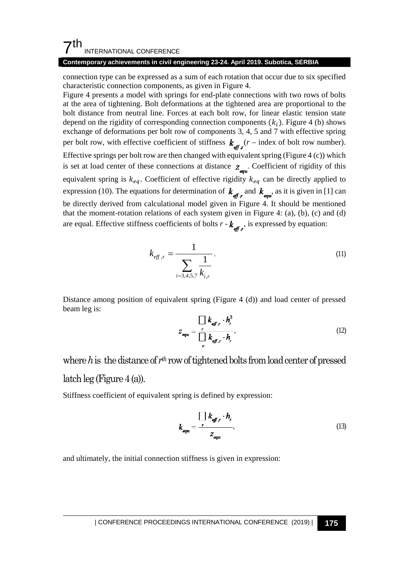#### **Contemporary achievements in civil engineering 23-24. April 2019. Subotica, SERBIA**

connection type can be expressed as a sum of each rotation that occur due to six specified characteristic connection components, as given in Figure 4.

Figure 4 presents a model with springs for end-plate connections with two rows of bolts at the area of tightening. Bolt deformations at the tightened area are proportional to the bolt distance from neutral line. Forces at each bolt row, for linear elastic tension state depend on the rigidity of corresponding connection components  $(k_i)$ . Figure 4 (b) shows exchange of deformations per bolt row of components 3, 4, 5 and 7 with effective spring per bolt row, with effective coefficient of stiffness  $k_{\text{eff}}(r - \text{index of bolt row number}).$ Effective springs per bolt row are then changed with equivalent spring (Figure 4  $(c)$ ) which is set at load center of these connections at distance  $z_{\text{env}}$ . Coefficient of rigidity of this equivalent spring is  $k_{ea}$ . Coefficient of effective rigidity  $k_{ea}$  can be directly applied to expression (10). The equations for determination of  $k_{\text{eff }r}$  and  $k_{\text{equ}}$ , as it is given in [1] can be directly derived from calculational model given in Figure 4. It should be mentioned that the moment-rotation relations of each system given in Figure 4: (a), (b), (c) and (d) are equal. Effective stiffness coefficients of bolts  $r - k_{\text{eff }r}$ , is expressed by equation:

$$
k_{eff,r} = \frac{1}{\sum_{i=3,4,5,7} \frac{1}{k_{i,r}}}.
$$
\n(11)

Distance among position of equivalent spring (Figure 4 (d)) and load center of pressed beam leg is:

$$
Z_{\text{equ}} = \frac{\prod_{r} k_{\text{eff},r} \cdot h_r^2}{\prod_{r} k_{\text{eff},r} \cdot h_r},
$$
(12)

# where *h*is the distance of *rth* row of tightened bolts from load center of pressed

#### latch  $leg$  (Figure 4 (a)).

Stiffness coefficient of equivalent spring is defined by expression:

$$
k_{equ} = \frac{\prod_{\text{f}} k_{\text{eff}} \cdot h_r}{z_{\text{equ}}},\tag{13}
$$

and ultimately, the initial connection stiffness is given in expression: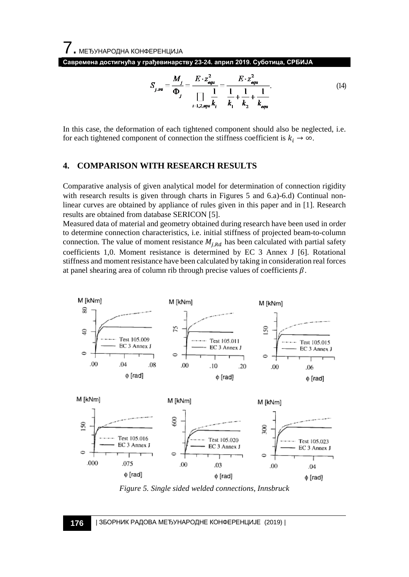**Савремена достигнућа у грађевинарству 23-24. април 2019. Суботица, СРБИЈА**

$$
S_{j \, j\bar{n}} = \frac{M_j}{\Phi_j} = \frac{E \cdot z_{\text{equ}}^2}{\prod_{i=1,2, \text{equ}} k_i} = \frac{E \cdot z_{\text{equ}}^2}{k_1 + \frac{1}{k_2} + \frac{1}{k_{\text{equ}}}}.
$$
 (14)

In this case, the deformation of each tightened component should also be neglected, i.e. for each tightened component of connection the stiffness coefficient is  $k_i \rightarrow \infty$ .

#### **4. COMPARISON WITH RESEARCH RESULTS**

Comparative analysis of given analytical model for determination of connection rigidity with research results is given through charts in Figures 5 and 6.a)-6.d) Continual nonlinear curves are obtained by appliance of rules given in this paper and in [1]. Research results are obtained from database SERICON [5].

Measured data of material and geometry obtained during research have been used in order to determine connection characteristics, i.e. initial stiffness of projected beam-to-column connection. The value of moment resistance  $M_{j, Rd}$  has been calculated with partial safety coefficients 1,0. Moment resistance is determined by EC 3 Annex J [6]. Rotational stiffness and moment resistance have been calculated by taking in consideration real forces at panel shearing area of column rib through precise values of coefficients  $\beta$ .



*Figure 5. Single sided welded connections, Innsbruck*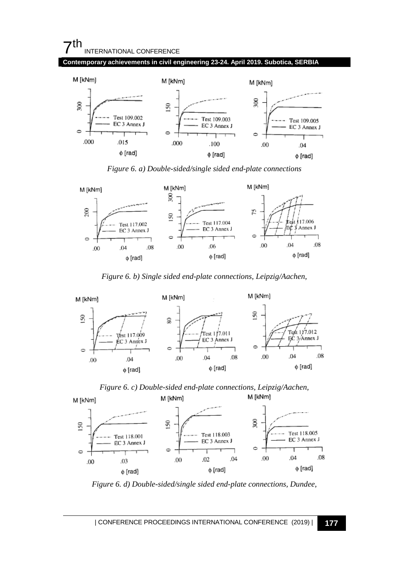#### **Contemporary achievements in civil engineering 23-24. April 2019. Subotica, SERBIA**



*Figure 6. a) Double-sided/single sided end-plate connections*



*Figure 6. b) Single sided end-plate connections, Leipzig/Aachen,*







*Figure 6. d) Double-sided/single sided end-plate connections, Dundee,*